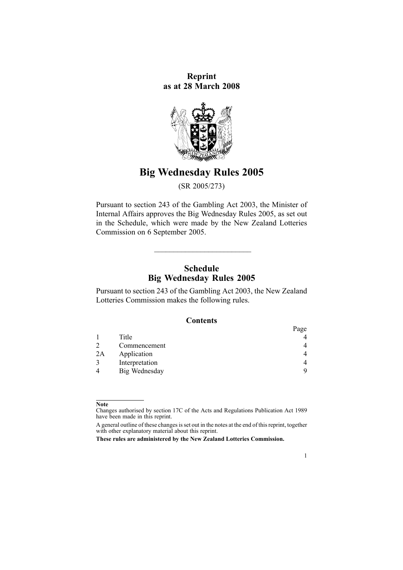**Reprint as at 28 March 2008**



# **Big Wednesday Rules 2005**

(SR 2005/273)

Pursuant to [section](http://www.legislation.govt.nz/pdfLink.aspx?id=DLM209744) 243 of the Gambling Act 2003, the Minister of Internal Affairs approves the Big Wednesday Rules 2005, as set out in the Schedule, which were made by the New Zealand Lotteries Commission on 6 September 2005.

# **Schedule Big Wednesday Rules 2005**

 $\mathcal{L}=\mathcal{L}=\mathcal{L}=\mathcal{L}=\mathcal{L}=\mathcal{L}=\mathcal{L}=\mathcal{L}=\mathcal{L}=\mathcal{L}=\mathcal{L}=\mathcal{L}=\mathcal{L}=\mathcal{L}=\mathcal{L}=\mathcal{L}=\mathcal{L}=\mathcal{L}=\mathcal{L}=\mathcal{L}=\mathcal{L}=\mathcal{L}=\mathcal{L}=\mathcal{L}=\mathcal{L}=\mathcal{L}=\mathcal{L}=\mathcal{L}=\mathcal{L}=\mathcal{L}=\mathcal{L}=\mathcal{L}=\mathcal{L}=\mathcal{L}=\mathcal{L}=\mathcal{L}=\mathcal{$ 

Pursuant to [section](http://www.legislation.govt.nz/pdfLink.aspx?id=DLM209744) 243 of the Gambling Act 2003, the New Zealand Lotteries Commission makes the following rules.

### **Contents**

|    |                | Page |
|----|----------------|------|
|    | Title          |      |
|    | Commencement   | 4    |
| 2A | Application    | 4    |
|    | Interpretation | 4    |
|    | Big Wednesday  | 9    |

1

**Note**

Changes authorised by [section](http://www.legislation.govt.nz/pdfLink.aspx?id=DLM195466) 17C of the Acts and Regulations Publication Act 1989 have been made in this reprint.

A general outline of these changes is set out in the notes at the end of this reprint, together with other explanatory material about this reprint.

**These rules are administered by the New Zealand Lotteries Commission.**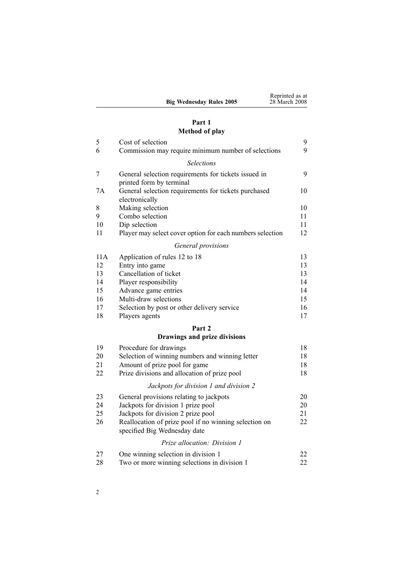|                                 | Reprinted as at |
|---------------------------------|-----------------|
| <b>Big Wednesday Rules 2005</b> | 28 March 2008   |

# **[Part](#page-8-0) [1](#page-8-0) [Method](#page-8-0) of play**

| 5   | Cost of selection                                                                     | 9  |
|-----|---------------------------------------------------------------------------------------|----|
| 6   | Commission may require minimum number of selections                                   | 9  |
|     | <b>Selections</b>                                                                     |    |
| 7   | General selection requirements for tickets issued in<br>printed form by terminal      | 9  |
| 7A  | General selection requirements for tickets purchased<br>electronically                | 10 |
| 8   | Making selection                                                                      | 10 |
| 9   | Combo selection                                                                       | 11 |
| 10  | Dip selection                                                                         | 11 |
| 11  | Player may select cover option for each numbers selection                             | 12 |
|     | General provisions                                                                    |    |
| 11A | Application of rules 12 to 18                                                         | 13 |
| 12  | Entry into game                                                                       | 13 |
| 13  | Cancellation of ticket                                                                | 13 |
| 14  | Player responsibility                                                                 | 14 |
| 15  | Advance game entries                                                                  | 14 |
| 16  | Multi-draw selections                                                                 | 15 |
| 17  | Selection by post or other delivery service                                           | 16 |
| 18  | Players agents                                                                        | 17 |
|     | Part 2                                                                                |    |
|     | Drawings and prize divisions                                                          |    |
| 19  | Procedure for drawings                                                                | 18 |
| 20  | Selection of winning numbers and winning letter                                       | 18 |
| 21  | Amount of prize pool for game                                                         | 18 |
| 22  | Prize divisions and allocation of prize pool                                          | 18 |
|     | Jackpots for division 1 and division 2                                                |    |
| 23  | General provisions relating to jackpots                                               | 20 |
| 24  | Jackpots for division 1 prize pool                                                    | 20 |
| 25  | Jackpots for division 2 prize pool                                                    | 21 |
| 26  | Reallocation of prize pool if no winning selection on<br>specified Big Wednesday date | 22 |
|     | <i>Prize allocation: Division 1</i>                                                   |    |
| 27  | One winning selection in division 1                                                   | 22 |
| 28  | Two or more winning selections in division 1                                          | 22 |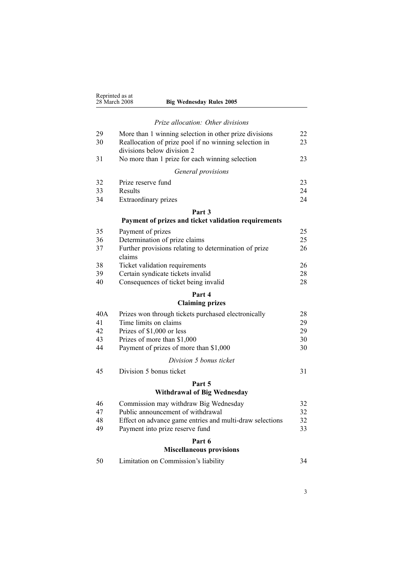|          | Reprinted as at<br>28 March 2008<br><b>Big Wednesday Rules 2005</b>                 |          |
|----------|-------------------------------------------------------------------------------------|----------|
|          | Prize allocation: Other divisions                                                   |          |
| 29       | More than 1 winning selection in other prize divisions                              | 22       |
| 30       | Reallocation of prize pool if no winning selection in<br>divisions below division 2 | 23       |
| 31       | No more than 1 prize for each winning selection                                     | 23       |
|          | General provisions                                                                  |          |
| 32       | Prize reserve fund                                                                  | 23       |
| 33       | Results                                                                             | 24       |
| 34       | Extraordinary prizes                                                                | 24       |
|          | Part 3                                                                              |          |
|          | Payment of prizes and ticket validation requirements                                |          |
| 35       | Payment of prizes                                                                   | 25       |
| 36       | Determination of prize claims                                                       | 25       |
| 37       | Further provisions relating to determination of prize<br>claims                     | 26       |
| 38       | Ticket validation requirements                                                      | 26       |
| 39       | Certain syndicate tickets invalid                                                   | 28       |
| 40       | Consequences of ticket being invalid                                                | 28       |
|          | Part 4                                                                              |          |
|          | <b>Claiming prizes</b>                                                              |          |
| 40A      | Prizes won through tickets purchased electronically                                 | 28       |
| 41       | Time limits on claims                                                               | 29       |
| 42       | Prizes of \$1,000 or less                                                           | 29       |
| 43<br>44 | Prizes of more than \$1,000<br>Payment of prizes of more than \$1,000               | 30<br>30 |
|          |                                                                                     |          |
|          | Division 5 bonus ticket                                                             |          |
| 45       | Division 5 bonus ticket                                                             | 31       |
|          | Part 5                                                                              |          |
|          | <b>Withdrawal of Big Wednesday</b>                                                  |          |
| 46       | Commission may withdraw Big Wednesday                                               | 32       |
| 47       | Public announcement of withdrawal                                                   | 32       |
| 48       | Effect on advance game entries and multi-draw selections                            | 32       |
| 49       | Payment into prize reserve fund                                                     | 33       |
|          | Part 6<br><b>Miscellaneous provisions</b>                                           |          |
| 50       | Limitation on Commission's liability                                                | 34       |
|          |                                                                                     |          |

3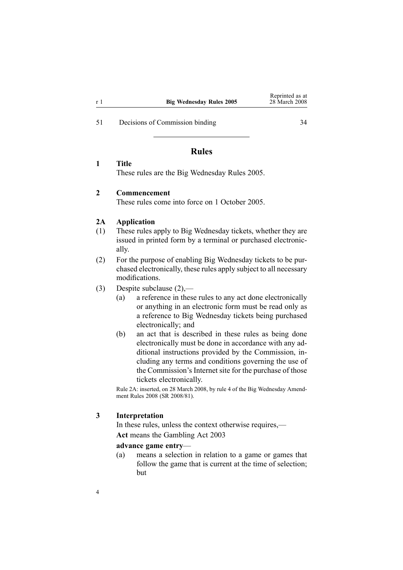<span id="page-3-0"></span>[51](#page-33-0) Decisions of [Commission](#page-33-0) bindin[g](#page-33-0) [34](#page-33-0)

# **Rules**

### **1 Title**

These rules are the Big Wednesday Rules 2005.

### **2 Commencement**

These rules come into force on 1 October 2005.

### **2A Application**

- (1) These rules apply to Big Wednesday tickets, whether they are issued in printed form by <sup>a</sup> terminal or purchased electronically.
- (2) For the purpose of enabling Big Wednesday tickets to be purchased electronically, these rules apply subject to all necessary modifications.
- (3) Despite subclause (2),—
	- (a) <sup>a</sup> reference in these rules to any act done electronically or anything in an electronic form must be read only as <sup>a</sup> reference to Big Wednesday tickets being purchased electronically; and
	- (b) an act that is described in these rules as being done electronically must be done in accordance with any additional instructions provided by the Commission, including any terms and conditions governing the use of the Commission's Internet site for the purchase of those tickets electronically.

Rule 2A: inserted, on 28 March 2008, by [rule](http://www.legislation.govt.nz/pdfLink.aspx?id=DLM1221007) 4 of the Big Wednesday Amendment Rules 2008 (SR 2008/81).

### **3 Interpretation**

In these rules, unless the context otherwise requires,— **Act** means the [Gambling](http://www.legislation.govt.nz/pdfLink.aspx?id=DLM207496) Act 2003

#### **advance game entry**—

(a) means <sup>a</sup> selection in relation to <sup>a</sup> game or games that follow the game that is current at the time of selection; but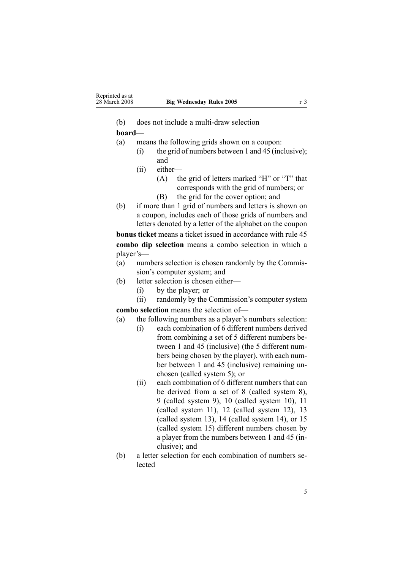$(b)$  does not include a multi-draw selection

# **board**—

- (a) means the following grids shown on <sup>a</sup> coupon:
	- (i) the grid of numbers between 1 and 45 (inclusive); and
		- (ii) either—
			- (A) the grid of letters marked "H" or "T" that corresponds with the grid of numbers; or
			- (B) the grid for the cover option; and
- (b) if more than 1 grid of numbers and letters is shown on <sup>a</sup> coupon, includes each of those grids of numbers and letters denoted by <sup>a</sup> letter of the alphabet on the coupon

**bonus ticket** means <sup>a</sup> ticket issued in accordance with [rule](#page-30-0) 45 **combo dip selection** means <sup>a</sup> combo selection in which <sup>a</sup> player's—

- (a) numbers selection is chosen randomly by the Commission's computer system; and
- (b) letter selection is chosen either—
	- (i) by the player; or
	- (ii) randomly by the Commission's computer system

**combo selection** means the selection of—

- (a) the following numbers as <sup>a</sup> player's numbers selection:
	- (i) each combination of 6 different numbers derived from combining <sup>a</sup> set of 5 different numbers between 1 and 45 (inclusive) (the 5 different numbers being chosen by the player), with each number between 1 and 45 (inclusive) remaining unchosen (called system 5); or
	- (ii) each combination of 6 different numbers that can be derived from <sup>a</sup> set of 8 (called system 8), 9 (called system 9), 10 (called system 10), 11 (called system 11), 12 (called system 12), 13 (called system 13), 14 (called system 14), or 15 (called system 15) different numbers chosen by <sup>a</sup> player from the numbers between 1 and 45 (inclusive); and
- (b) <sup>a</sup> letter selection for each combination of numbers selected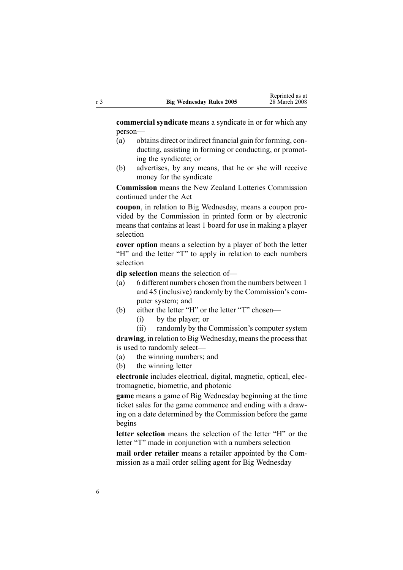**commercial syndicate** means <sup>a</sup> syndicate in or for which any person—

- (a) obtains direct or indirect financial gain for forming, conducting, assisting in forming or conducting, or promoting the syndicate; or
- (b) advertises, by any means, that he or she will receive money for the syndicate

**Commission** means the New Zealand Lotteries Commission continued under the Act

**coupon**, in relation to Big Wednesday, means <sup>a</sup> coupon provided by the Commission in printed form or by electronic means that contains at least 1 board for use in making <sup>a</sup> player selection

**cover option** means a selection by a player of both the letter "H" and the letter "T" to apply in relation to each numbers selection

**dip selection** means the selection of—

- (a) 6 different numbers chosen from the numbers between 1 and 45 (inclusive) randomly by the Commission's computer system; and
- (b) either the letter "H" or the letter "T" chosen—
	- (i) by the player; or
	- (ii) randomly by the Commission's computer system

drawing, in relation to Big Wednesday, means the process that is used to randomly select—

- (a) the winning numbers; and
- (b) the winning letter

**electronic** includes electrical, digital, magnetic, optical, electromagnetic, biometric, and photonic

**game** means <sup>a</sup> game of Big Wednesday beginning at the time ticket sales for the game commence and ending with <sup>a</sup> drawing on <sup>a</sup> date determined by the Commission before the game begins

**letter selection** means the selection of the letter "H" or the letter "T" made in conjunction with <sup>a</sup> numbers selection

**mail order retailer** means <sup>a</sup> retailer appointed by the Commission as <sup>a</sup> mail order selling agen<sup>t</sup> for Big Wednesday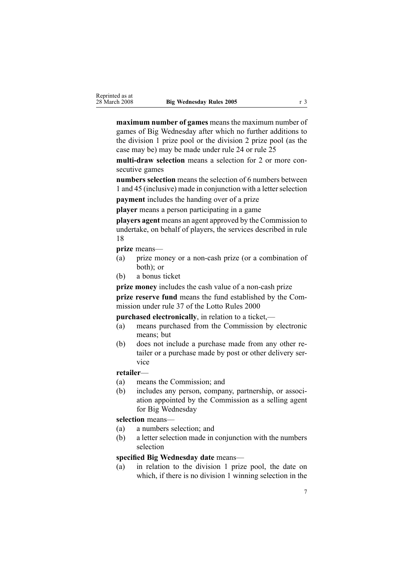**maximum number of games** means the maximum number of games of Big Wednesday after which no further additions to the division 1 prize pool or the division 2 prize pool (as the case may be) may be made under [rule](#page-19-0) 24 or [rule](#page-20-0) 25

**multi-draw selection** means a selection for 2 or more consecutive games

**numbers selection** means the selection of 6 numbers between 1 and 45 (inclusive) made in conjunction with a letter selection **paymen<sup>t</sup>** includes the handing over of <sup>a</sup> prize

**player** means <sup>a</sup> person participating in <sup>a</sup> game

**players agen<sup>t</sup>** means an agen<sup>t</sup> approved by the Commission to undertake, on behalf of players, the services described in rule 18

**prize** means—

- (a) prize money or a non-cash prize (or a combination of both); or
- (b) <sup>a</sup> bonus ticket

**prize money** includes the cash value of a non-cash prize **prize reserve fund** means the fund established by the Commission under [rule](http://www.legislation.govt.nz/pdfLink.aspx?id=DLM19765) 37 of the Lotto Rules 2000

**purchased electronically**, in relation to <sup>a</sup> ticket,—

- (a) means purchased from the Commission by electronic means; but
- (b) does not include <sup>a</sup> purchase made from any other retailer or <sup>a</sup> purchase made by pos<sup>t</sup> or other delivery service

### **retailer**—

- (a) means the Commission; and
- (b) includes any person, company, partnership, or association appointed by the Commission as <sup>a</sup> selling agen<sup>t</sup> for Big Wednesday

**selection** means—

- (a) <sup>a</sup> numbers selection; and
- (b) <sup>a</sup> letter selection made in conjunction with the numbers selection

# **specified Big Wednesday date** means—

(a) in relation to the division 1 prize pool, the date on which, if there is no division 1 winning selection in the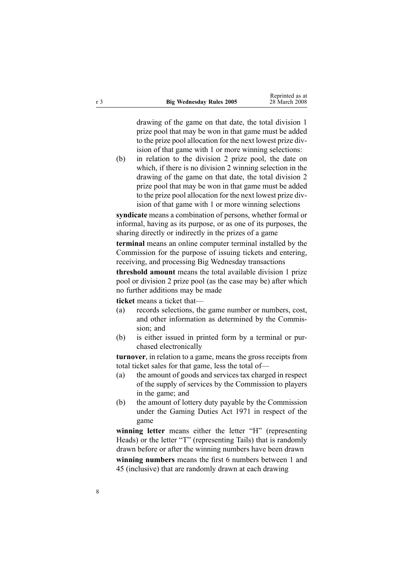drawing of the game on that date, the total division 1 prize pool that may be won in that game must be added to the prize pool allocation for the next lowest prize division of that game with 1 or more winning selections:

(b) in relation to the division 2 prize pool, the date on which, if there is no division 2 winning selection in the drawing of the game on that date, the total division 2 prize pool that may be won in that game must be added to the prize pool allocation for the next lowest prize division of that game with 1 or more winning selections

**syndicate** means <sup>a</sup> combination of persons, whether formal or informal, having as its purpose, or as one of its purposes, the sharing directly or indirectly in the prizes of <sup>a</sup> game

**terminal** means an online computer terminal installed by the Commission for the purpose of issuing tickets and entering, receiving, and processing Big Wednesday transactions

**threshold amount** means the total available division 1 prize pool or division 2 prize pool (as the case may be) after which no further additions may be made

**ticket** means <sup>a</sup> ticket that—

- (a) records selections, the game number or numbers, cost, and other information as determined by the Commission; and
- (b) is either issued in printed form by <sup>a</sup> terminal or purchased electronically

**turnover**, in relation to <sup>a</sup> game, means the gross receipts from total ticket sales for that game, less the total of—

- (a) the amount of goods and services tax charged in respec<sup>t</sup> of the supply of services by the Commission to players in the game; and
- (b) the amount of lottery duty payable by the Commission under the [Gaming](http://www.legislation.govt.nz/pdfLink.aspx?id=DLM398477) Duties Act 1971 in respec<sup>t</sup> of the game

**winning letter** means either the letter "H" (representing Heads) or the letter "T" (representing Tails) that is randomly drawn before or after the winning numbers have been drawn

**winning numbers** means the first 6 numbers between 1 and 45 (inclusive) that are randomly drawn at each drawing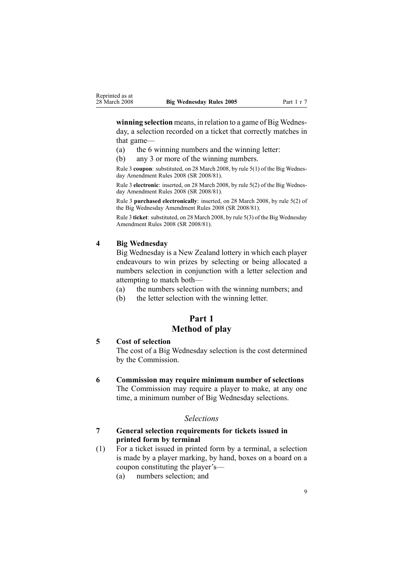<span id="page-8-0"></span>**winning selection** means, in relation to <sup>a</sup> game of Big Wednesday, <sup>a</sup> selection recorded on <sup>a</sup> ticket that correctly matches in that game—

- (a) the 6 winning numbers and the winning letter:
- (b) any 3 or more of the winning numbers.

Rule 3 **coupon**: substituted, on 28 March 2008, by rule [5\(1\)](http://www.legislation.govt.nz/pdfLink.aspx?id=DLM1221009) of the Big Wednesday Amendment Rules 2008 (SR 2008/81).

Rule 3 **electronic**: inserted, on 28 March 2008, by rule [5\(2\)](http://www.legislation.govt.nz/pdfLink.aspx?id=DLM1221009) of the Big Wednesday Amendment Rules 2008 (SR 2008/81).

Rule 3 **purchased electronically**: inserted, on 28 March 2008, by rule [5\(2\)](http://www.legislation.govt.nz/pdfLink.aspx?id=DLM1221009) of the Big Wednesday Amendment Rules 2008 (SR 2008/81).

Rule 3 **ticket**: substituted, on 28 March 2008, by rule [5\(3\)](http://www.legislation.govt.nz/pdfLink.aspx?id=DLM1221009) of the Big Wednesday Amendment Rules 2008 (SR 2008/81).

### **4 Big Wednesday**

Big Wednesday is <sup>a</sup> New Zealand lottery in which each player endeavours to win prizes by selecting or being allocated <sup>a</sup> numbers selection in conjunction with <sup>a</sup> letter selection and attempting to match both—

- (a) the numbers selection with the winning numbers; and
- (b) the letter selection with the winning letter.

# **Part 1 Method of play**

## **5 Cost of selection**

The cost of <sup>a</sup> Big Wednesday selection is the cost determined by the Commission.

### **6 Commission may require minimum number of selections**

The Commission may require <sup>a</sup> player to make, at any one time, <sup>a</sup> minimum number of Big Wednesday selections.

### *Selections*

### **7 General selection requirements for tickets issued in printed form by terminal**

- (1) For <sup>a</sup> ticket issued in printed form by <sup>a</sup> terminal, <sup>a</sup> selection is made by <sup>a</sup> player marking, by hand, boxes on <sup>a</sup> board on <sup>a</sup> coupon constituting the player's—
	- (a) numbers selection; and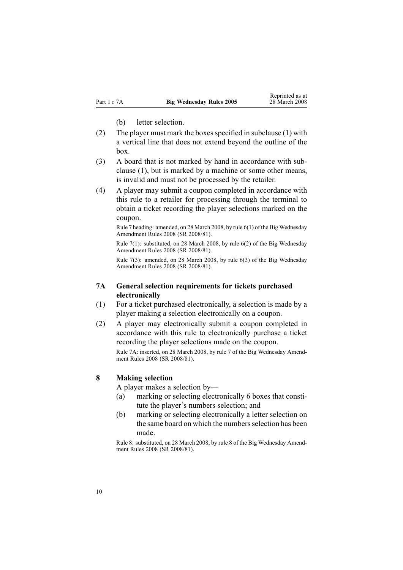(b) letter selection.

- <span id="page-9-0"></span>(2) The player must mark the boxes specified in subclause  $(1)$  with <sup>a</sup> vertical line that does not extend beyond the outline of the box.
- (3) A board that is not marked by hand in accordance with subclause (1), but is marked by <sup>a</sup> machine or some other means, is invalid and must not be processed by the retailer.
- (4) A player may submit <sup>a</sup> coupon completed in accordance with this rule to <sup>a</sup> retailer for processing through the terminal to obtain <sup>a</sup> ticket recording the player selections marked on the coupon.

Rule 7 heading: amended, on 28 March 2008, by rule [6\(1\)](http://www.legislation.govt.nz/pdfLink.aspx?id=DLM1221020) of the Big Wednesday Amendment Rules 2008 (SR 2008/81).

Rule 7(1): substituted, on 28 March 2008, by rule [6\(2\)](http://www.legislation.govt.nz/pdfLink.aspx?id=DLM1221020) of the Big Wednesday Amendment Rules 2008 (SR 2008/81).

Rule 7(3): amended, on 28 March 2008, by rule [6\(3\)](http://www.legislation.govt.nz/pdfLink.aspx?id=DLM1221020) of the Big Wednesday Amendment Rules 2008 (SR 2008/81).

### **7A General selection requirements for tickets purchased electronically**

- (1) For <sup>a</sup> ticket purchased electronically, <sup>a</sup> selection is made by <sup>a</sup> player making <sup>a</sup> selection electronically on <sup>a</sup> coupon.
- (2) A player may electronically submit <sup>a</sup> coupon completed in accordance with this rule to electronically purchase <sup>a</sup> ticket recording the player selections made on the coupon. Rule 7A: inserted, on 28 March 2008, by [rule](http://www.legislation.govt.nz/pdfLink.aspx?id=DLM1221021) 7 of the Big Wednesday Amendment Rules 2008 (SR 2008/81).

#### **8 Making selection**

A player makes <sup>a</sup> selection by—

- (a) marking or selecting electronically 6 boxes that constitute the player's numbers selection; and
- (b) marking or selecting electronically <sup>a</sup> letter selection on the same board on which the numbers selection has been made.

Rule 8: substituted, on 28 March 2008, by [rule](http://www.legislation.govt.nz/pdfLink.aspx?id=DLM1221023) 8 of the Big Wednesday Amendment Rules 2008 (SR 2008/81).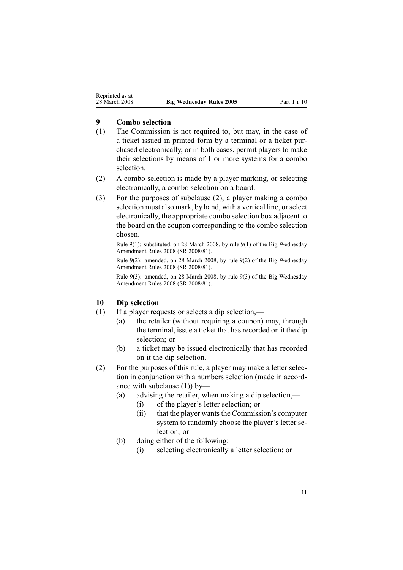### <span id="page-10-0"></span>**9 Combo selection**

- (1) The Commission is not required to, but may, in the case of <sup>a</sup> ticket issued in printed form by <sup>a</sup> terminal or <sup>a</sup> ticket purchased electronically, or in both cases, permit players to make their selections by means of 1 or more systems for <sup>a</sup> combo selection.
- (2) A combo selection is made by <sup>a</sup> player marking, or selecting electronically, <sup>a</sup> combo selection on <sup>a</sup> board.
- (3) For the purposes of subclause (2), <sup>a</sup> player making <sup>a</sup> combo selection must also mark, by hand, with a vertical line, or select electronically, the appropriate combo selection box adjacent to the board on the coupon corresponding to the combo selection chosen.

Rule 9(1): substituted, on 28 March 2008, by rule [9\(1\)](http://www.legislation.govt.nz/pdfLink.aspx?id=DLM1221025) of the Big Wednesday Amendment Rules 2008 (SR 2008/81).

Rule 9(2): amended, on 28 March 2008, by rule [9\(2\)](http://www.legislation.govt.nz/pdfLink.aspx?id=DLM1221025) of the Big Wednesday Amendment Rules 2008 (SR 2008/81).

Rule 9(3): amended, on 28 March 2008, by rule [9\(3\)](http://www.legislation.govt.nz/pdfLink.aspx?id=DLM1221025) of the Big Wednesday Amendment Rules 2008 (SR 2008/81).

### **10 Dip selection**

- (1) If <sup>a</sup> player requests or selects <sup>a</sup> dip selection,—
	- (a) the retailer (without requiring <sup>a</sup> coupon) may, through the terminal, issue a ticket that has recorded on it the dip selection: or
	- (b) <sup>a</sup> ticket may be issued electronically that has recorded on it the dip selection.
- (2) For the purposes of this rule, <sup>a</sup> player may make <sup>a</sup> letter selection in conjunction with <sup>a</sup> numbers selection (made in accordance with subclause (1)) by—
	- (a) advising the retailer, when making <sup>a</sup> dip selection,—
		- (i) of the player's letter selection; or
		- $(ii)$  that the player wants the Commission's computer system to randomly choose the player's letter selection; or
	- (b) doing either of the following:
		- (i) selecting electronically <sup>a</sup> letter selection; or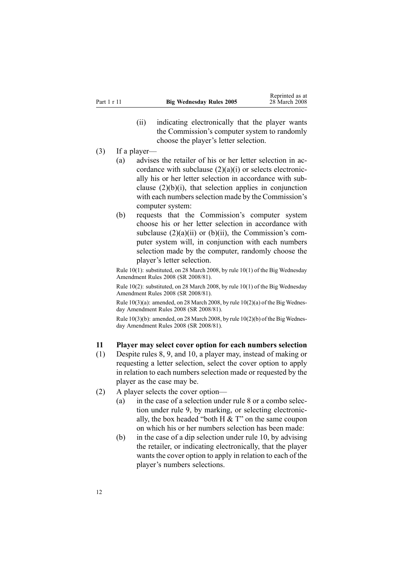- (ii) indicating electronically that the player wants the Commission's computer system to randomly choose the player's letter selection.
- <span id="page-11-0"></span>(3) If <sup>a</sup> player—
	- (a) advises the retailer of his or her letter selection in accordance with subclause  $(2)(a)(i)$  or selects electronically his or her letter selection in accordance with subclause  $(2)(b)(i)$ , that selection applies in conjunction with each numbers selection made by the Commission's computer system:
	- (b) requests that the Commission's computer system choose his or her letter selection in accordance with subclause  $(2)(a)(ii)$  or  $(b)(ii)$ , the Commission's computer system will, in conjunction with each numbers selection made by the computer, randomly choose the player's letter selection.

Rule 10(1): substituted, on 28 March 2008, by rule [10\(1\)](http://www.legislation.govt.nz/pdfLink.aspx?id=DLM1221026) of the Big Wednesday Amendment Rules 2008 (SR 2008/81).

Rule 10(2): substituted, on 28 March 2008, by rule [10\(1\)](http://www.legislation.govt.nz/pdfLink.aspx?id=DLM1221026) of the Big Wednesday Amendment Rules 2008 (SR 2008/81).

Rule  $10(3)(a)$ : amended, on 28 March 2008, by rule  $10(2)(a)$  of the Big Wednesday Amendment Rules 2008 (SR 2008/81).

Rule 10(3)(b): amended, on 28 March 2008, by rule [10\(2\)\(b\)](http://www.legislation.govt.nz/pdfLink.aspx?id=DLM1221026) of the Big Wednesday Amendment Rules 2008 (SR 2008/81).

### **11 Player may select cover option for each numbers selection**

- (1) Despite [rules](#page-9-0) 8, [9](#page-10-0), and [10](#page-10-0), <sup>a</sup> player may, instead of making or requesting <sup>a</sup> letter selection, select the cover option to apply in relation to each numbers selection made or requested by the player as the case may be.
- (2) A player selects the cover option—
	- (a) in the case of <sup>a</sup> selection under [rule](#page-9-0) 8 or <sup>a</sup> combo selection under [rule](#page-10-0) 9, by marking, or selecting electronically, the box headed "both  $H \& T$ " on the same coupon on which his or her numbers selection has been made:
	- (b) in the case of <sup>a</sup> dip selection under [rule](#page-10-0) 10, by advising the retailer, or indicating electronically, that the player wants the cover option to apply in relation to each of the player's numbers selections.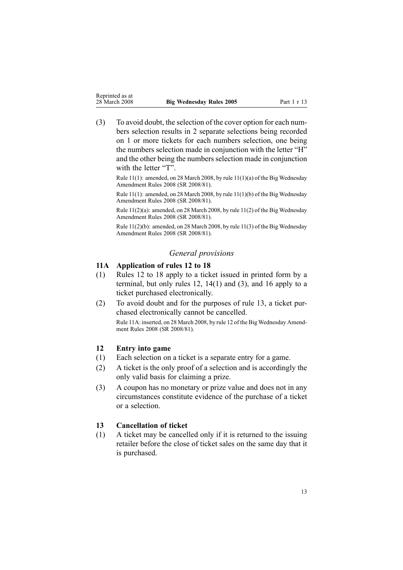<span id="page-12-0"></span>

| Reprinted as at |                              |
|-----------------|------------------------------|
| 28 March 2008   | <b>Big Wednesday Rules 2</b> |

(3) To avoid doubt, the selection of the cover option for each numbers selection results in 2 separate selections being recorded on 1 or more tickets for each numbers selection, one being the numbers selection made in conjunction with the letter "H" and the other being the numbers selection made in conjunction with the letter "T".

Rule 11(1): amended, on 28 March 2008, by rule [11\(1\)\(a\)](http://www.legislation.govt.nz/pdfLink.aspx?id=DLM1221027) of the Big Wednesday Amendment Rules 2008 (SR 2008/81).

Rule 11(1): amended, on 28 March 2008, by rule [11\(1\)\(b\)](http://www.legislation.govt.nz/pdfLink.aspx?id=DLM1221027) of the Big Wednesday Amendment Rules 2008 (SR 2008/81).

Rule 11(2)(a): amended, on 28 March 2008, by rule [11\(2\)](http://www.legislation.govt.nz/pdfLink.aspx?id=DLM1221027) of the Big Wednesday Amendment Rules 2008 (SR 2008/81).

Rule 11(2)(b): amended, on 28 March 2008, by rule [11\(3\)](http://www.legislation.govt.nz/pdfLink.aspx?id=DLM1221027) of the Big Wednesday Amendment Rules 2008 (SR 2008/81).

### *General provisions*

### **11A Application of rules 12 to 18**

- (1) Rules 12 to 18 apply to <sup>a</sup> ticket issued in printed form by <sup>a</sup> terminal, but only rules 12, [14\(1\)](#page-13-0) and (3), and [16](#page-14-0) apply to <sup>a</sup> ticket purchased electronically.
- (2) To avoid doubt and for the purposes of rule 13, <sup>a</sup> ticket purchased electronically cannot be cancelled.

Rule 11A: inserted, on 28 March 2008, by [rule](http://www.legislation.govt.nz/pdfLink.aspx?id=DLM1221028) 12 of the Big Wednesday Amendment Rules 2008 (SR 2008/81).

### **12 Entry into game**

- (1) Each selection on <sup>a</sup> ticket is <sup>a</sup> separate entry for <sup>a</sup> game.
- (2) A ticket is the only proof of <sup>a</sup> selection and is accordingly the only valid basis for claiming <sup>a</sup> prize.
- (3) A coupon has no monetary or prize value and does not in any circumstances constitute evidence of the purchase of <sup>a</sup> ticket or <sup>a</sup> selection.

### **13 Cancellation of ticket**

(1) A ticket may be cancelled only if it is returned to the issuing retailer before the close of ticket sales on the same day that it is purchased.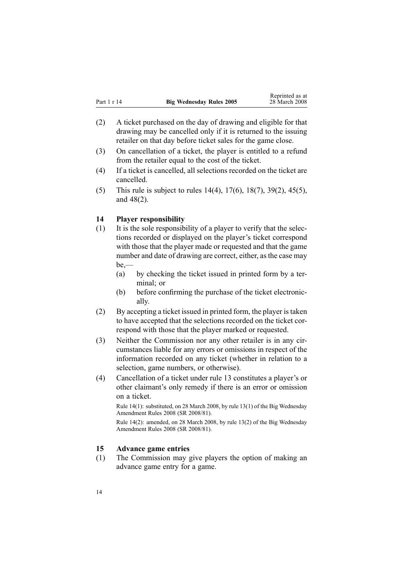<span id="page-13-0"></span>

| Part 1 r 14 | <b>Big Wednesday Rules 2005</b> | weblumou as a<br>28 March 2008 |  |
|-------------|---------------------------------|--------------------------------|--|
|             |                                 |                                |  |

Reprinted as at

- (2) A ticket purchased on the day of drawing and eligible for that drawing may be cancelled only if it is returned to the issuing retailer on that day before ticket sales for the game close.
- (3) On cancellation of <sup>a</sup> ticket, the player is entitled to <sup>a</sup> refund from the retailer equal to the cost of the ticket.
- (4) If <sup>a</sup> ticket is cancelled, all selections recorded on the ticket are cancelled.
- (5) This rule is subject to rules 14(4), [17\(6\)](#page-15-0), [18\(7\)](#page-16-0), [39\(2\)](#page-27-0), [45\(5\)](#page-30-0), and [48\(2\)](#page-31-0).

# **14 Player responsibility**

- (1) It is the sole responsibility of <sup>a</sup> player to verify that the selections recorded or displayed on the player's ticket correspond with those that the player made or requested and that the game number and date of drawing are correct, either, as the case may be,—
	- (a) by checking the ticket issued in printed form by <sup>a</sup> terminal; or
	- (b) before confirming the purchase of the ticket electronically.
- (2) By accepting <sup>a</sup> ticket issued in printed form, the player istaken to have accepted that the selections recorded on the ticket correspond with those that the player marked or requested.
- (3) Neither the Commission nor any other retailer is in any circumstances liable for any errors or omissions in respec<sup>t</sup> of the information recorded on any ticket (whether in relation to <sup>a</sup> selection, game numbers, or otherwise).
- (4) Cancellation of <sup>a</sup> ticket under [rule](#page-12-0) 13 constitutes <sup>a</sup> player's or other claimant's only remedy if there is an error or omission on <sup>a</sup> ticket.

Rule 14(1): substituted, on 28 March 2008, by rule [13\(1\)](http://www.legislation.govt.nz/pdfLink.aspx?id=DLM1221030) of the Big Wednesday Amendment Rules 2008 (SR 2008/81).

Rule 14(2): amended, on 28 March 2008, by rule [13\(2\)](http://www.legislation.govt.nz/pdfLink.aspx?id=DLM1221030) of the Big Wednesday Amendment Rules 2008 (SR 2008/81).

# **15 Advance game entries**

(1) The Commission may give players the option of making an advance game entry for <sup>a</sup> game.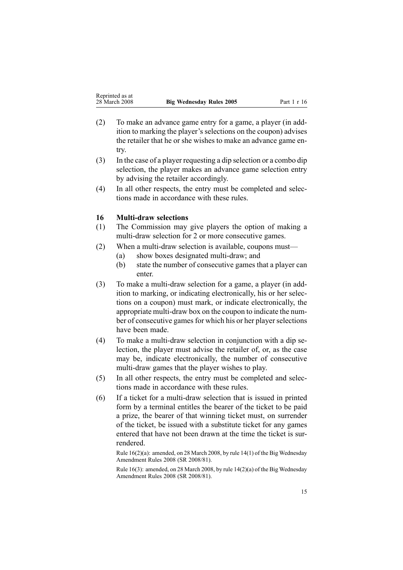- <span id="page-14-0"></span>(2) To make an advance game entry for <sup>a</sup> game, <sup>a</sup> player (in addition to marking the player's selections on the coupon) advises the retailer that he or she wishes to make an advance game entry.
- (3) In the case of <sup>a</sup> player requesting <sup>a</sup> dip selection or <sup>a</sup> combo dip selection, the player makes an advance game selection entry by advising the retailer accordingly.
- (4) In all other respects, the entry must be completed and selections made in accordance with these rules.

### **16 Multi-draw** selections

- (1) The Commission may give players the option of making <sup>a</sup> multi-draw selection for 2 or more consecutive games.
- (2) When a multi-draw selection is available, coupons must—
	- (a) show boxes designated multi-draw; and
	- (b) state the number of consecutive games that <sup>a</sup> player can enter.
- $(3)$  To make a multi-draw selection for a game, a player (in addition to marking, or indicating electronically, his or her selections on <sup>a</sup> coupon) must mark, or indicate electronically, the appropriate multi-draw box on the coupon to indicate the number of consecutive games for which his or her player selections have been made.
- $(4)$  To make a multi-draw selection in conjunction with a dip selection, the player must advise the retailer of, or, as the case may be, indicate electronically, the number of consecutive multi-draw games that the player wishes to play.
- (5) In all other respects, the entry must be completed and selections made in accordance with these rules.
- $(6)$  If a ticket for a multi-draw selection that is issued in printed form by <sup>a</sup> terminal entitles the bearer of the ticket to be paid <sup>a</sup> prize, the bearer of that winning ticket must, on surrender of the ticket, be issued with <sup>a</sup> substitute ticket for any games entered that have not been drawn at the time the ticket is surrendered.

Rule 16(2)(a): amended, on 28 March 2008, by rule [14\(1\)](http://www.legislation.govt.nz/pdfLink.aspx?id=DLM1221031) of the Big Wednesday Amendment Rules 2008 (SR 2008/81).

Rule 16(3): amended, on 28 March 2008, by rule [14\(2\)\(a\)](http://www.legislation.govt.nz/pdfLink.aspx?id=DLM1221031) of the Big Wednesday Amendment Rules 2008 (SR 2008/81).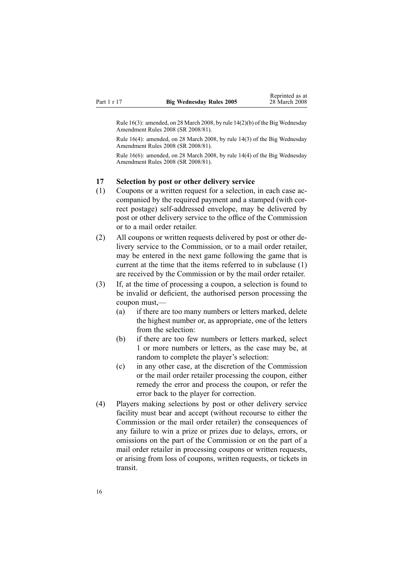<span id="page-15-0"></span>Rule 16(3): amended, on 28 March 2008, by rule [14\(2\)\(b\)](http://www.legislation.govt.nz/pdfLink.aspx?id=DLM1221031) of the Big Wednesday Amendment Rules 2008 (SR 2008/81).

Rule 16(4): amended, on 28 March 2008, by rule [14\(3\)](http://www.legislation.govt.nz/pdfLink.aspx?id=DLM1221031) of the Big Wednesday Amendment Rules 2008 (SR 2008/81).

Rule 16(6): amended, on 28 March 2008, by rule [14\(4\)](http://www.legislation.govt.nz/pdfLink.aspx?id=DLM1221031) of the Big Wednesday Amendment Rules 2008 (SR 2008/81).

### **17 Selection by post or other delivery service**

- (1) Coupons or <sup>a</sup> written reques<sup>t</sup> for <sup>a</sup> selection, in each case accompanied by the required paymen<sup>t</sup> and <sup>a</sup> stamped (with correct postage) self-addressed envelope, may be delivered by pos<sup>t</sup> or other delivery service to the office of the Commission or to <sup>a</sup> mail order retailer.
- (2) All coupons or written requests delivered by pos<sup>t</sup> or other delivery service to the Commission, or to <sup>a</sup> mail order retailer, may be entered in the next game following the game that is current at the time that the items referred to in subclause (1) are received by the Commission or by the mail order retailer.
- (3) If, at the time of processing <sup>a</sup> coupon, <sup>a</sup> selection is found to be invalid or deficient, the authorised person processing the coupon must,—
	- (a) if there are too many numbers or letters marked, delete the highest number or, as appropriate, one of the letters from the selection:
	- (b) if there are too few numbers or letters marked, select 1 or more numbers or letters, as the case may be, at random to complete the player's selection:
	- (c) in any other case, at the discretion of the Commission or the mail order retailer processing the coupon, either remedy the error and process the coupon, or refer the error back to the player for correction.
- (4) Players making selections by pos<sup>t</sup> or other delivery service facility must bear and accep<sup>t</sup> (without recourse to either the Commission or the mail order retailer) the consequences of any failure to win <sup>a</sup> prize or prizes due to delays, errors, or omissions on the par<sup>t</sup> of the Commission or on the par<sup>t</sup> of <sup>a</sup> mail order retailer in processing coupons or written requests, or arising from loss of coupons, written requests, or tickets in transit.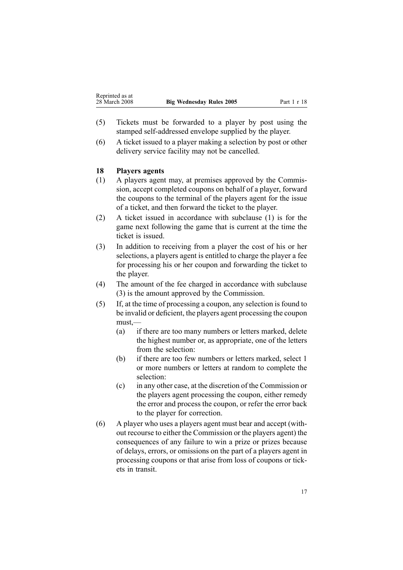- <span id="page-16-0"></span>(5) Tickets must be forwarded to <sup>a</sup> player by pos<sup>t</sup> using the stamped self-addressed envelope supplied by the player.
- (6) A ticket issued to <sup>a</sup> player making <sup>a</sup> selection by pos<sup>t</sup> or other delivery service facility may not be cancelled.

### **18 Players agents**

- (1) A players agen<sup>t</sup> may, at premises approved by the Commission, accep<sup>t</sup> completed coupons on behalf of <sup>a</sup> player, forward the coupons to the terminal of the players agen<sup>t</sup> for the issue of <sup>a</sup> ticket, and then forward the ticket to the player.
- (2) A ticket issued in accordance with subclause (1) is for the game next following the game that is current at the time the ticket is issued.
- (3) In addition to receiving from <sup>a</sup> player the cost of his or her selections, <sup>a</sup> players agen<sup>t</sup> is entitled to charge the player <sup>a</sup> fee for processing his or her coupon and forwarding the ticket to the player.
- (4) The amount of the fee charged in accordance with subclause (3) is the amount approved by the Commission.
- (5) If, at the time of processing <sup>a</sup> coupon, any selection is found to be invalid or deficient, the players agen<sup>t</sup> processing the coupon must,—
	- (a) if there are too many numbers or letters marked, delete the highest number or, as appropriate, one of the letters from the selection:
	- (b) if there are too few numbers or letters marked, select 1 or more numbers or letters at random to complete the selection:
	- (c) in any other case, at the discretion of the Commission or the players agen<sup>t</sup> processing the coupon, either remedy the error and process the coupon, or refer the error back to the player for correction.
- (6) A player who uses <sup>a</sup> players agen<sup>t</sup> must bear and accep<sup>t</sup> (without recourse to either the Commission or the players agent) the consequences of any failure to win <sup>a</sup> prize or prizes because of delays, errors, or omissions on the par<sup>t</sup> of <sup>a</sup> players agen<sup>t</sup> in processing coupons or that arise from loss of coupons or tickets in transit.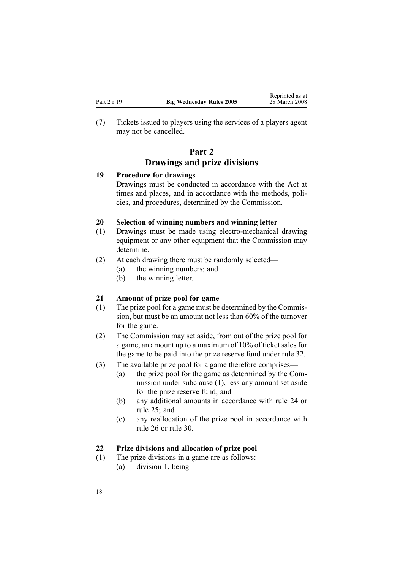<span id="page-17-0"></span>(7) Tickets issued to players using the services of <sup>a</sup> players agen<sup>t</sup> may not be cancelled.

# **Part 2 Drawings and prize divisions**

### **19 Procedure for drawings**

Drawings must be conducted in accordance with the Act at times and places, and in accordance with the methods, policies, and procedures, determined by the Commission.

### **20 Selection of winning numbers and winning letter**

- $(1)$  Drawings must be made using electro-mechanical drawing equipment or any other equipment that the Commission may determine.
- (2) At each drawing there must be randomly selected—
	- (a) the winning numbers; and
	- (b) the winning letter.

## **21 Amount of prize pool for game**

- (1) The prize pool for <sup>a</sup> game must be determined by the Commission, but must be an amount not less than 60% of the turnover for the game.
- (2) The Commission may set aside, from out of the prize pool for <sup>a</sup> game, an amount up to <sup>a</sup> maximum of 10% of ticket sales for the game to be paid into the prize reserve fund under [rule](#page-22-0) 32.
- (3) The available prize pool for <sup>a</sup> game therefore comprises—
	- (a) the prize pool for the game as determined by the Commission under subclause (1), less any amount set aside for the prize reserve fund; and
	- (b) any additional amounts in accordance with [rule](#page-19-0) 24 or [rule](#page-20-0) 25; and
	- (c) any reallocation of the prize pool in accordance with [rule](#page-21-0) 26 or [rule](#page-22-0) 30.

## **22 Prize divisions and allocation of prize pool**

- (1) The prize divisions in <sup>a</sup> game are as follows:
	- (a) division 1, being—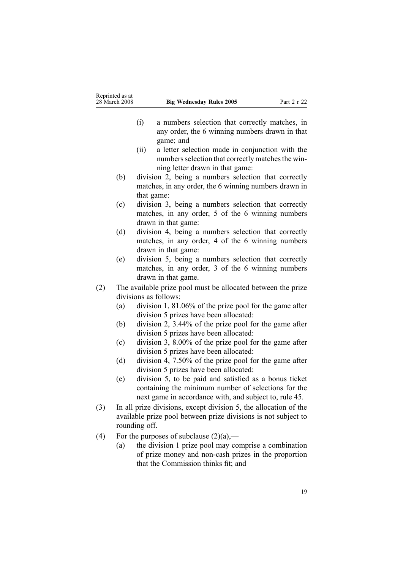| Reprinted as at |                                 |             |
|-----------------|---------------------------------|-------------|
| 28 March 2008   | <b>Big Wednesday Rules 2005</b> | Part 2 r 22 |

- (i) <sup>a</sup> numbers selection that correctly matches, in any order, the 6 winning numbers drawn in that game; and
- (ii) <sup>a</sup> letter selection made in conjunction with the numbers selection that correctly matches the winning letter drawn in that game:
- (b) division 2, being <sup>a</sup> numbers selection that correctly matches, in any order, the 6 winning numbers drawn in that game:
- (c) division 3, being <sup>a</sup> numbers selection that correctly matches, in any order, 5 of the 6 winning numbers drawn in that game:
- (d) division 4, being <sup>a</sup> numbers selection that correctly matches, in any order, 4 of the 6 winning numbers drawn in that game:
- (e) division 5, being <sup>a</sup> numbers selection that correctly matches, in any order, 3 of the 6 winning numbers drawn in that game.
- (2) The available prize pool must be allocated between the prize divisions as follows:
	- (a) division 1, 81.06% of the prize pool for the game after division 5 prizes have been allocated:
	- (b) division 2, 3.44% of the prize pool for the game after division 5 prizes have been allocated:
	- (c) division 3, 8.00% of the prize pool for the game after division 5 prizes have been allocated:
	- (d) division 4, 7.50% of the prize pool for the game after division 5 prizes have been allocated:
	- (e) division 5, to be paid and satisfied as <sup>a</sup> bonus ticket containing the minimum number of selections for the next game in accordance with, and subject to, [rule](#page-30-0) 45.
- (3) In all prize divisions, excep<sup>t</sup> division 5, the allocation of the available prize pool between prize divisions is not subject to rounding off.
- (4) For the purposes of subclause  $(2)(a)$ ,—
	- (a) the division 1 prize pool may comprise <sup>a</sup> combination of prize money and non-cash prizes in the proportion that the Commission thinks fit; and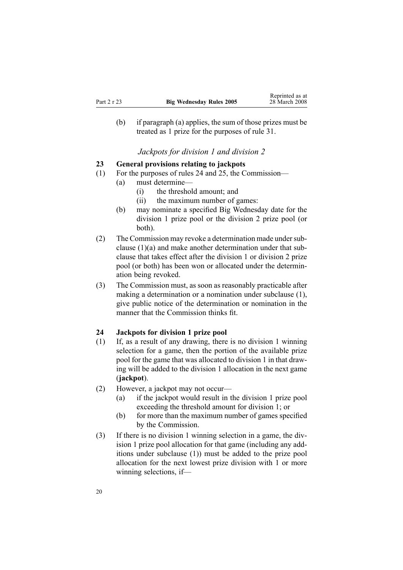<span id="page-19-0"></span>(b) if paragraph (a) applies, the sum of those prizes must be treated as 1 prize for the purposes of [rule](#page-22-0) 31.

*Jackpots for division 1 and division 2*

### **23 General provisions relating to jackpots**

- (1) For the purposes of rules 24 and [25](#page-20-0), the Commission—
	- (a) must determine—
		- (i) the threshold amount; and
		- (ii) the maximum number of games:
		- (b) may nominate <sup>a</sup> specified Big Wednesday date for the division 1 prize pool or the division 2 prize pool (or both).
- (2) The Commission may revoke a determination made under subclause (1)(a) and make another determination under that subclause that takes effect after the division 1 or division 2 prize pool (or both) has been won or allocated under the determination being revoked.
- (3) The Commission must, as soon as reasonably practicable after making <sup>a</sup> determination or <sup>a</sup> nomination under subclause (1), give public notice of the determination or nomination in the manner that the Commission thinks fit.

### **24 Jackpots for division 1 prize pool**

- (1) If, as <sup>a</sup> result of any drawing, there is no division 1 winning selection for <sup>a</sup> game, then the portion of the available prize pool for the game that was allocated to division 1 in that drawing will be added to the division 1 allocation in the next game (**jackpot**).
- (2) However, <sup>a</sup> jackpot may not occur—
	- (a) if the jackpot would result in the division 1 prize pool exceeding the threshold amount for division 1; or
	- (b) for more than the maximum number of games specified by the Commission.
- (3) If there is no division 1 winning selection in <sup>a</sup> game, the division 1 prize pool allocation for that game (including any additions under subclause (1)) must be added to the prize pool allocation for the next lowest prize division with 1 or more winning selections, if—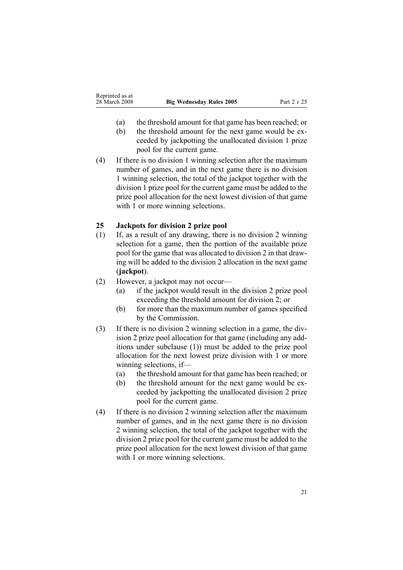- <span id="page-20-0"></span>(a) the threshold amount for that game has been reached; or
- (b) the threshold amount for the next game would be exceeded by jackpotting the unallocated division 1 prize pool for the current game.
- (4) If there is no division 1 winning selection after the maximum number of games, and in the next game there is no division 1 winning selection, the total of the jackpot together with the division 1 prize pool for the current game must be added to the prize pool allocation for the next lowest division of that game with 1 or more winning selections.

# **25 Jackpots for division 2 prize pool**

- (1) If, as <sup>a</sup> result of any drawing, there is no division 2 winning selection for <sup>a</sup> game, then the portion of the available prize pool for the game that was allocated to division 2 in that drawing will be added to the division 2 allocation in the next game (**jackpot**).
- (2) However, <sup>a</sup> jackpot may not occur—
	- (a) if the jackpot would result in the division 2 prize pool exceeding the threshold amount for division 2; or
	- (b) for more than the maximum number of games specified by the Commission.
- (3) If there is no division 2 winning selection in <sup>a</sup> game, the division 2 prize pool allocation for that game (including any additions under subclause (1)) must be added to the prize pool allocation for the next lowest prize division with 1 or more winning selections, if—
	- (a) the threshold amount for that game has been reached; or
	- (b) the threshold amount for the next game would be exceeded by jackpotting the unallocated division 2 prize pool for the current game.
- (4) If there is no division 2 winning selection after the maximum number of games, and in the next game there is no division 2 winning selection, the total of the jackpot together with the division 2 prize pool for the current game must be added to the prize pool allocation for the next lowest division of that game with 1 or more winning selections.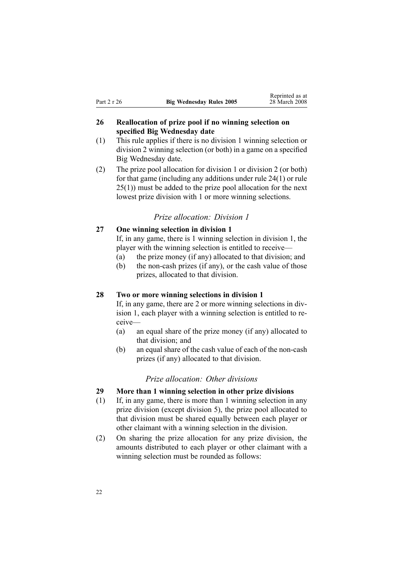# <span id="page-21-0"></span>**26 Reallocation of prize pool if no winning selection on specified Big Wednesday date**

- (1) This rule applies if there is no division 1 winning selection or division 2 winning selection (or both) in <sup>a</sup> game on <sup>a</sup> specified Big Wednesday date.
- (2) The prize pool allocation for division 1 or division 2 (or both) for that game (including any additions under rule [24\(1\)](#page-19-0) or [rule](#page-20-0) [25\(1\)\)](#page-20-0) must be added to the prize pool allocation for the next lowest prize division with 1 or more winning selections.

### *Prize allocation: Division 1*

### **27 One winning selection in division 1**

If, in any game, there is 1 winning selection in division 1, the player with the winning selection is entitled to receive—

- (a) the prize money (if any) allocated to that division; and
- (b) the non-cash prizes (if any), or the cash value of those prizes, allocated to that division.

### **28 Two or more winning selections in division 1**

If, in any game, there are 2 or more winning selections in division 1, each player with <sup>a</sup> winning selection is entitled to receive—

- (a) an equal share of the prize money (if any) allocated to that division; and
- (b) an equal share of the cash value of each of the non-cash prizes (if any) allocated to that division.

#### *Prize allocation: Other divisions*

- **29 More than 1 winning selection in other prize divisions**
- (1) If, in any game, there is more than 1 winning selection in any prize division (except division 5), the prize pool allocated to that division must be shared equally between each player or other claimant with <sup>a</sup> winning selection in the division.
- (2) On sharing the prize allocation for any prize division, the amounts distributed to each player or other claimant with <sup>a</sup> winning selection must be rounded as follows: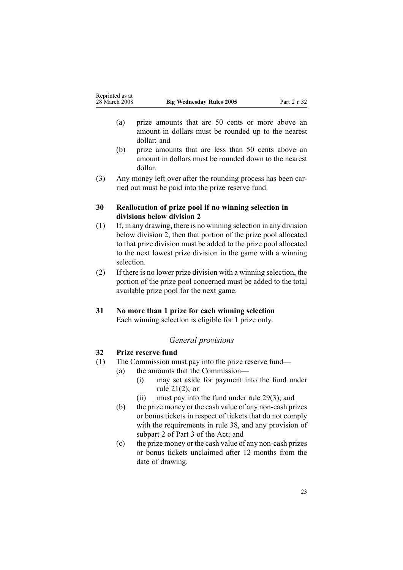- <span id="page-22-0"></span>(a) prize amounts that are 50 cents or more above an amount in dollars must be rounded up to the nearest dollar; and
- (b) prize amounts that are less than 50 cents above an amount in dollars must be rounded down to the nearest dollar.
- (3) Any money left over after the rounding process has been carried out must be paid into the prize reserve fund.

### **30 Reallocation of prize pool if no winning selection in divisions below division 2**

- (1) If, in any drawing, there is no winning selection in any division below division 2, then that portion of the prize pool allocated to that prize division must be added to the prize pool allocated to the next lowest prize division in the game with <sup>a</sup> winning selection.
- (2) If there is no lower prize division with <sup>a</sup> winning selection, the portion of the prize pool concerned must be added to the total available prize pool for the next game.

# **31 No more than 1 prize for each winning selection**

Each winning selection is eligible for 1 prize only.

# *General provisions*

# **32 Prize reserve fund**

- (1) The Commission must pay into the prize reserve fund—
	- (a) the amounts that the Commission—
		- (i) may set aside for paymen<sup>t</sup> into the fund under rule [21\(2\)](#page-17-0); or
		- (ii) must pay into the fund under rule [29\(3\)](#page-21-0); and
	- $(b)$  the prize money or the cash value of any non-cash prizes or bonus tickets in respec<sup>t</sup> of tickets that do not comply with the requirements in [rule](#page-25-0) 38, and any provision of [subpart](http://www.legislation.govt.nz/pdfLink.aspx?id=DLM209728) 2 of Part 3 of the Act; and
	- $\epsilon$  the prize money or the cash value of any non-cash prizes or bonus tickets unclaimed after 12 months from the date of drawing.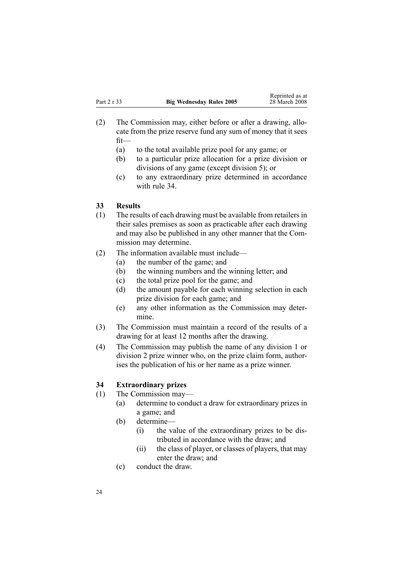- <span id="page-23-0"></span>(2) The Commission may, either before or after <sup>a</sup> drawing, allocate from the prize reserve fund any sum of money that it sees fit—
	- (a) to the total available prize pool for any game; or
	- (b) to <sup>a</sup> particular prize allocation for <sup>a</sup> prize division or divisions of any game (except division 5); or
	- (c) to any extraordinary prize determined in accordance with rule 34.

### **33 Results**

- (1) The results of each drawing must be available from retailers in their sales premises as soon as practicable after each drawing and may also be published in any other manner that the Commission may determine.
- (2) The information available must include—
	- (a) the number of the game; and
	- (b) the winning numbers and the winning letter; and
	- (c) the total prize pool for the game; and
	- (d) the amount payable for each winning selection in each prize division for each game; and
	- (e) any other information as the Commission may determine.
- (3) The Commission must maintain <sup>a</sup> record of the results of <sup>a</sup> drawing for at least 12 months after the drawing.
- (4) The Commission may publish the name of any division 1 or division 2 prize winner who, on the prize claim form, authorises the publication of his or her name as <sup>a</sup> prize winner.

## **34 Extraordinary prizes**

- (1) The Commission may—
	- (a) determine to conduct <sup>a</sup> draw for extraordinary prizes in <sup>a</sup> game; and
	- (b) determine—
		- (i) the value of the extraordinary prizes to be distributed in accordance with the draw; and
		- (ii) the class of player, or classes of players, that may enter the draw; and
	- (c) conduct the draw.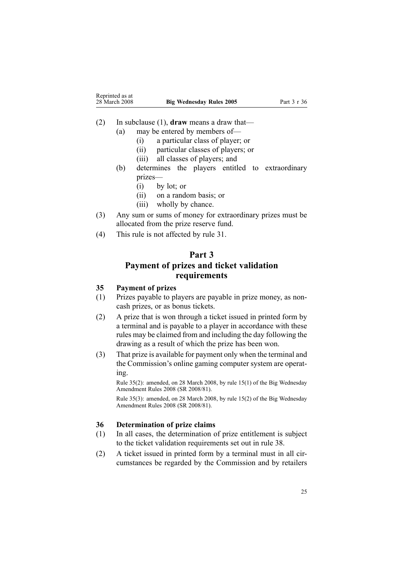<span id="page-24-0"></span>

| Reprinted as at |                                 |             |
|-----------------|---------------------------------|-------------|
| 28 March 2008   | <b>Big Wednesday Rules 2005</b> | Part 3 r 36 |

- (2) In subclause (1), **draw** means <sup>a</sup> draw that—
	- (a) may be entered by members of—
		- (i) <sup>a</sup> particular class of player; or
		- (ii) particular classes of players; or
		- (iii) all classes of players; and
	- (b) determines the players entitled to extraordinary prizes—
		- (i) by lot; or
		- (ii) on <sup>a</sup> random basis; or
		- (iii) wholly by chance.
- (3) Any sum or sums of money for extraordinary prizes must be allocated from the prize reserve fund.
- (4) This rule is not affected by [rule](#page-22-0) 31.

# **Part 3**

# **Payment of prizes and ticket validation requirements**

# **35 Payment of prizes**

- (1) Prizes payable to players are payable in prize money, as noncash prizes, or as bonus tickets.
- (2) A prize that is won through <sup>a</sup> ticket issued in printed form by <sup>a</sup> terminal and is payable to <sup>a</sup> player in accordance with these rules may be claimed from and including the day following the drawing as <sup>a</sup> result of which the prize has been won.
- (3) That prize is available for paymen<sup>t</sup> only when the terminal and the Commission's online gaming computer system are operating.

Rule 35(2): amended, on 28 March 2008, by rule [15\(1\)](http://www.legislation.govt.nz/pdfLink.aspx?id=DLM1221032) of the Big Wednesday Amendment Rules 2008 (SR 2008/81).

Rule 35(3): amended, on 28 March 2008, by rule [15\(2\)](http://www.legislation.govt.nz/pdfLink.aspx?id=DLM1221032) of the Big Wednesday Amendment Rules 2008 (SR 2008/81).

# **36 Determination of prize claims**

- (1) In all cases, the determination of prize entitlement is subject to the ticket validation requirements set out in [rule](#page-25-0) 38.
- (2) A ticket issued in printed form by <sup>a</sup> terminal must in all circumstances be regarded by the Commission and by retailers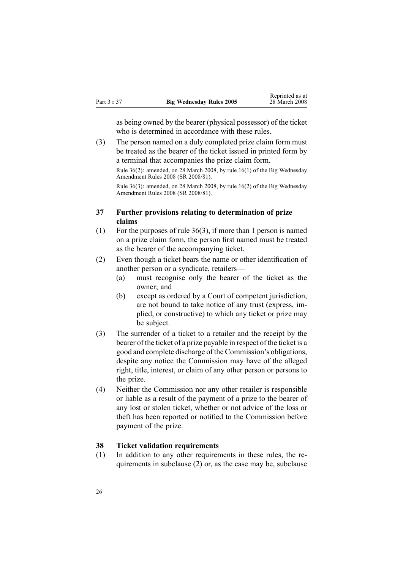<span id="page-25-0"></span>

|             |                                 | Reprinted as at |
|-------------|---------------------------------|-----------------|
| Part 3 r 37 | <b>Big Wednesday Rules 2005</b> | 28 March 2008   |

as being owned by the bearer (physical possessor) of the ticket who is determined in accordance with these rules.

(3) The person named on <sup>a</sup> duly completed prize claim form must be treated as the bearer of the ticket issued in printed form by <sup>a</sup> terminal that accompanies the prize claim form.

Rule 36(2): amended, on 28 March 2008, by rule [16\(1\)](http://www.legislation.govt.nz/pdfLink.aspx?id=DLM1221033) of the Big Wednesday Amendment Rules 2008 (SR 2008/81).

Rule 36(3): amended, on 28 March 2008, by rule [16\(2\)](http://www.legislation.govt.nz/pdfLink.aspx?id=DLM1221033) of the Big Wednesday Amendment Rules 2008 (SR 2008/81).

# **37 Further provisions relating to determination of prize claims**

- (1) For the purposes of rule [36\(3\)](#page-24-0), if more than 1 person is named on <sup>a</sup> prize claim form, the person first named must be treated as the bearer of the accompanying ticket.
- (2) Even though <sup>a</sup> ticket bears the name or other identification of another person or <sup>a</sup> syndicate, retailers—
	- (a) must recognise only the bearer of the ticket as the owner; and
	- (b) excep<sup>t</sup> as ordered by <sup>a</sup> Court of competent jurisdiction, are not bound to take notice of any trust (express, implied, or constructive) to which any ticket or prize may be subject.
- (3) The surrender of <sup>a</sup> ticket to <sup>a</sup> retailer and the receipt by the bearer of the ticket of <sup>a</sup> prize payable in respec<sup>t</sup> of the ticket is <sup>a</sup> good and complete discharge of the Commission's obligations, despite any notice the Commission may have of the alleged right, title, interest, or claim of any other person or persons to the prize.
- (4) Neither the Commission nor any other retailer is responsible or liable as <sup>a</sup> result of the paymen<sup>t</sup> of <sup>a</sup> prize to the bearer of any lost or stolen ticket, whether or not advice of the loss or theft has been reported or notified to the Commission before paymen<sup>t</sup> of the prize.

# **38 Ticket validation requirements**

(1) In addition to any other requirements in these rules, the requirements in subclause (2) or, as the case may be, subclause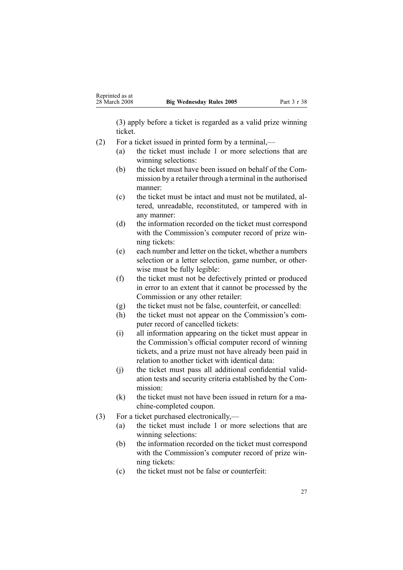(3) apply before <sup>a</sup> ticket is regarded as <sup>a</sup> valid prize winning ticket.

- (2) For <sup>a</sup> ticket issued in printed form by <sup>a</sup> terminal,—
	- (a) the ticket must include 1 or more selections that are winning selections:
	- (b) the ticket must have been issued on behalf of the Commission by <sup>a</sup> retailer through <sup>a</sup> terminal in the authorised manner:
	- (c) the ticket must be intact and must not be mutilated, altered, unreadable, reconstituted, or tampered with in any manner:
	- (d) the information recorded on the ticket must correspond with the Commission's computer record of prize winning tickets:
	- (e) each number and letter on the ticket, whether <sup>a</sup> numbers selection or <sup>a</sup> letter selection, game number, or otherwise must be fully legible:
	- (f) the ticket must not be defectively printed or produced in error to an extent that it cannot be processed by the Commission or any other retailer:
	- (g) the ticket must not be false, counterfeit, or cancelled:
	- (h) the ticket must not appear on the Commission's computer record of cancelled tickets:
	- (i) all information appearing on the ticket must appear in the Commission's official computer record of winning tickets, and <sup>a</sup> prize must not have already been paid in relation to another ticket with identical data:
	- (j) the ticket must pass all additional confidential validation tests and security criteria established by the Commission:
	- (k) the ticket must not have been issued in return for <sup>a</sup> machine-completed coupon.
- (3) For <sup>a</sup> ticket purchased electronically,—
	- (a) the ticket must include 1 or more selections that are winning selections:
	- (b) the information recorded on the ticket must correspond with the Commission's computer record of prize winning tickets:
	- (c) the ticket must not be false or counterfeit: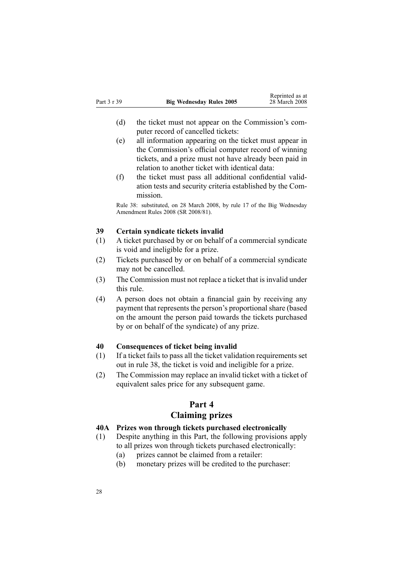- <span id="page-27-0"></span>(d) the ticket must not appear on the Commission's computer record of cancelled tickets:
- (e) all information appearing on the ticket must appear in the Commission's official computer record of winning tickets, and <sup>a</sup> prize must not have already been paid in relation to another ticket with identical data:
- (f) the ticket must pass all additional confidential validation tests and security criteria established by the Commission.

Rule 38: substituted, on 28 March 2008, by [rule](http://www.legislation.govt.nz/pdfLink.aspx?id=DLM1221034) 17 of the Big Wednesday Amendment Rules 2008 (SR 2008/81).

### **39 Certain syndicate tickets invalid**

- (1) A ticket purchased by or on behalf of <sup>a</sup> commercial syndicate is void and ineligible for <sup>a</sup> prize.
- (2) Tickets purchased by or on behalf of <sup>a</sup> commercial syndicate may not be cancelled.
- (3) The Commission must not replace <sup>a</sup> ticket that is invalid under this rule.
- (4) A person does not obtain <sup>a</sup> financial gain by receiving any paymen<sup>t</sup> that represents the person's proportional share (based on the amount the person paid towards the tickets purchased by or on behalf of the syndicate) of any prize.

### **40 Consequences of ticket being invalid**

- (1) If <sup>a</sup> ticket fails to pass all the ticket validation requirements set out in [rule](#page-25-0) 38, the ticket is void and ineligible for <sup>a</sup> prize.
- (2) The Commission may replace an invalid ticket with <sup>a</sup> ticket of equivalent sales price for any subsequent game.

# **Part 4**

# **Claiming prizes**

### **40A Prizes won through tickets purchased electronically**

- (1) Despite anything in this Part, the following provisions apply to all prizes won through tickets purchased electronically:
	- (a) prizes cannot be claimed from <sup>a</sup> retailer:
	- (b) monetary prizes will be credited to the purchaser: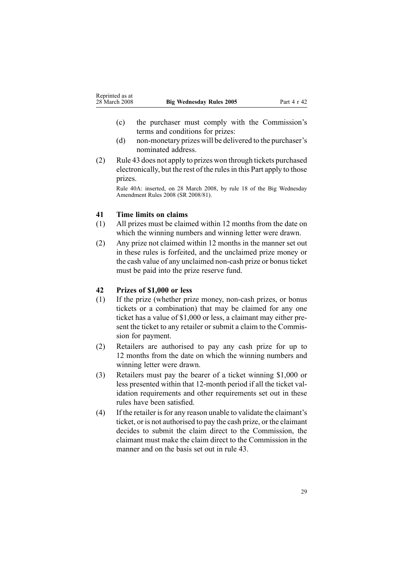- <span id="page-28-0"></span>(c) the purchaser must comply with the Commission's terms and conditions for prizes:
- $(d)$  non-monetary prizes will be delivered to the purchaser's nominated address.
- (2) [Rule](#page-29-0) 43 does not apply to prizes won through tickets purchased electronically, but the rest of the rulesin this Part apply to those prizes.

Rule 40A: inserted, on 28 March 2008, by [rule](http://www.legislation.govt.nz/pdfLink.aspx?id=DLM1221036) 18 of the Big Wednesday Amendment Rules 2008 (SR 2008/81).

### **41 Time limits on claims**

- (1) All prizes must be claimed within 12 months from the date on which the winning numbers and winning letter were drawn.
- (2) Any prize not claimed within 12 months in the manner set out in these rules is forfeited, and the unclaimed prize money or the cash value of any unclaimed non-cash prize or bonus ticket must be paid into the prize reserve fund.

### **42 Prizes of \$1,000 or less**

- $(1)$  If the prize (whether prize money, non-cash prizes, or bonus tickets or <sup>a</sup> combination) that may be claimed for any one ticket has <sup>a</sup> value of \$1,000 or less, <sup>a</sup> claimant may either present the ticket to any retailer or submit <sup>a</sup> claim to the Commission for payment.
- (2) Retailers are authorised to pay any cash prize for up to 12 months from the date on which the winning numbers and winning letter were drawn.
- (3) Retailers must pay the bearer of <sup>a</sup> ticket winning \$1,000 or less presented within that 12-month period if all the ticket validation requirements and other requirements set out in these rules have been satisfied.
- $(4)$  If the retailer is for any reason unable to validate the claimant's ticket, or is not authorised to pay the cash prize, or the claimant decides to submit the claim direct to the Commission, the claimant must make the claim direct to the Commission in the manner and on the basis set out in [rule](#page-29-0) 43.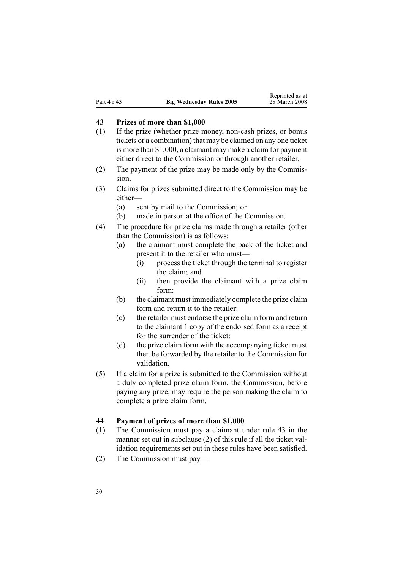### <span id="page-29-0"></span>**43 Prizes of more than \$1,000**

- $(1)$  If the prize (whether prize money, non-cash prizes, or bonus tickets or <sup>a</sup> combination) that may be claimed on any one ticket is more than \$1,000, <sup>a</sup> claimant may make <sup>a</sup> claim for paymen<sup>t</sup> either direct to the Commission or through another retailer.
- (2) The paymen<sup>t</sup> of the prize may be made only by the Commission.
- (3) Claims for prizes submitted direct to the Commission may be either—
	- (a) sent by mail to the Commission; or
	- (b) made in person at the office of the Commission.
- (4) The procedure for prize claims made through <sup>a</sup> retailer (other than the Commission) is as follows:
	- (a) the claimant must complete the back of the ticket and presen<sup>t</sup> it to the retailer who must—
		- (i) process the ticket through the terminal to register the claim; and
		- (ii) then provide the claimant with <sup>a</sup> prize claim form:
	- (b) the claimant must immediately complete the prize claim form and return it to the retailer:
	- (c) the retailer must endorse the prize claim form and return to the claimant 1 copy of the endorsed form as <sup>a</sup> receipt for the surrender of the ticket:
	- (d) the prize claim form with the accompanying ticket must then be forwarded by the retailer to the Commission for validation.
- (5) If <sup>a</sup> claim for <sup>a</sup> prize is submitted to the Commission without <sup>a</sup> duly completed prize claim form, the Commission, before paying any prize, may require the person making the claim to complete <sup>a</sup> prize claim form.

### **44 Payment of prizes of more than \$1,000**

- (1) The Commission must pay <sup>a</sup> claimant under rule 43 in the manner set out in subclause (2) of this rule if all the ticket validation requirements set out in these rules have been satisfied.
- (2) The Commission must pay—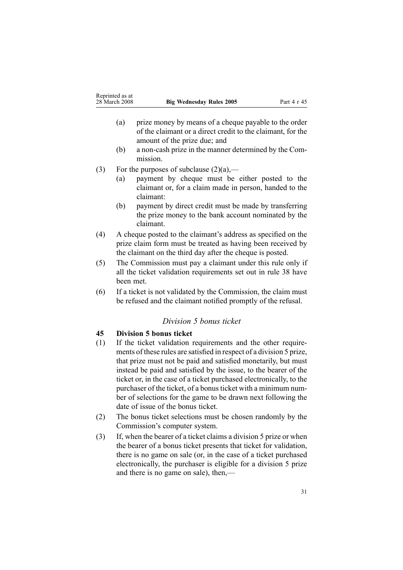- <span id="page-30-0"></span>(a) prize money by means of <sup>a</sup> cheque payable to the order of the claimant or <sup>a</sup> direct credit to the claimant, for the amount of the prize due; and
- $(b)$  a non-cash prize in the manner determined by the Commission.
- (3) For the purposes of subclause  $(2)(a)$ ,—
	- (a) paymen<sup>t</sup> by cheque must be either posted to the claimant or, for <sup>a</sup> claim made in person, handed to the claimant:
	- (b) paymen<sup>t</sup> by direct credit must be made by transferring the prize money to the bank account nominated by the claimant.
- (4) A cheque posted to the claimant's address as specified on the prize claim form must be treated as having been received by the claimant on the third day after the cheque is posted.
- (5) The Commission must pay <sup>a</sup> claimant under this rule only if all the ticket validation requirements set out in [rule](#page-25-0) 38 have been met.
- (6) If <sup>a</sup> ticket is not validated by the Commission, the claim must be refused and the claimant notified promptly of the refusal.

## *Division 5 bonus ticket*

### **45 Division 5 bonus ticket**

- (1) If the ticket validation requirements and the other requirements of these rules are satisfied in respec<sup>t</sup> of <sup>a</sup> division 5 prize, that prize must not be paid and satisfied monetarily, but must instead be paid and satisfied by the issue, to the bearer of the ticket or, in the case of <sup>a</sup> ticket purchased electronically, to the purchaser of the ticket, of a bonus ticket with a minimum number of selections for the game to be drawn next following the date of issue of the bonus ticket.
- (2) The bonus ticket selections must be chosen randomly by the Commission's computer system.
- (3) If, when the bearer of <sup>a</sup> ticket claims <sup>a</sup> division 5 prize or when the bearer of <sup>a</sup> bonus ticket presents that ticket for validation, there is no game on sale (or, in the case of <sup>a</sup> ticket purchased electronically, the purchaser is eligible for <sup>a</sup> division 5 prize and there is no game on sale), then,—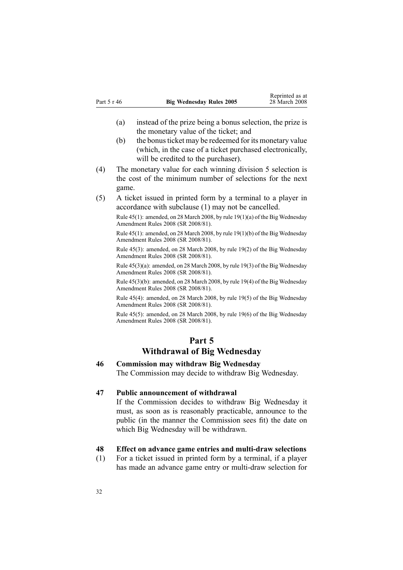- <span id="page-31-0"></span>(a) instead of the prize being <sup>a</sup> bonus selection, the prize is the monetary value of the ticket; and
- (b) the bonus ticket may be redeemed for its monetary value (which, in the case of <sup>a</sup> ticket purchased electronically, will be credited to the purchaser).
- (4) The monetary value for each winning division 5 selection is the cost of the minimum number of selections for the next game.
- (5) A ticket issued in printed form by <sup>a</sup> terminal to <sup>a</sup> player in accordance with subclause (1) may not be cancelled.

Rule 45(1): amended, on 28 March 2008, by rule [19\(1\)\(a\)](http://www.legislation.govt.nz/pdfLink.aspx?id=DLM1221038) of the Big Wednesday Amendment Rules 2008 (SR 2008/81).

Rule 45(1): amended, on 28 March 2008, by rule [19\(1\)\(b\)](http://www.legislation.govt.nz/pdfLink.aspx?id=DLM1221038) of the Big Wednesday Amendment Rules 2008 (SR 2008/81).

Rule 45(3): amended, on 28 March 2008, by rule [19\(2\)](http://www.legislation.govt.nz/pdfLink.aspx?id=DLM1221038) of the Big Wednesday Amendment Rules 2008 (SR 2008/81).

Rule 45(3)(a): amended, on 28 March 2008, by rule [19\(3\)](http://www.legislation.govt.nz/pdfLink.aspx?id=DLM1221038) of the Big Wednesday Amendment Rules 2008 (SR 2008/81).

Rule 45(3)(b): amended, on 28 March 2008, by rule [19\(4\)](http://www.legislation.govt.nz/pdfLink.aspx?id=DLM1221038) of the Big Wednesday Amendment Rules 2008 (SR 2008/81).

Rule 45(4): amended, on 28 March 2008, by rule [19\(5\)](http://www.legislation.govt.nz/pdfLink.aspx?id=DLM1221038) of the Big Wednesday Amendment Rules 2008 (SR 2008/81).

Rule 45(5): amended, on 28 March 2008, by rule [19\(6\)](http://www.legislation.govt.nz/pdfLink.aspx?id=DLM1221038) of the Big Wednesday Amendment Rules 2008 (SR 2008/81).

# **Part 5**

# **Withdrawal of Big Wednesday**

# **46 Commission may withdraw Big Wednesday**

The Commission may decide to withdraw Big Wednesday.

## **47 Public announcement of withdrawal**

If the Commission decides to withdraw Big Wednesday it must, as soon as is reasonably practicable, announce to the public (in the manner the Commission sees fit) the date on which Big Wednesday will be withdrawn.

### **48 Effect** on advance game entries and multi-draw selections

(1) For <sup>a</sup> ticket issued in printed form by <sup>a</sup> terminal, if <sup>a</sup> player has made an advance game entry or multi-draw selection for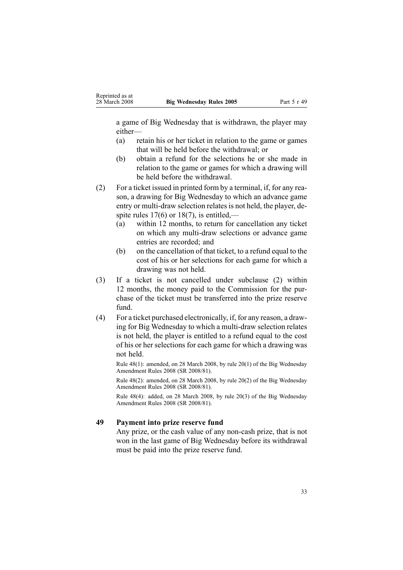<span id="page-32-0"></span><sup>a</sup> game of Big Wednesday that is withdrawn, the player may either—

- (a) retain his or her ticket in relation to the game or games that will be held before the withdrawal; or
- (b) obtain <sup>a</sup> refund for the selections he or she made in relation to the game or games for which <sup>a</sup> drawing will be held before the withdrawal.

(2) For <sup>a</sup> ticket issued in printed form by <sup>a</sup> terminal, if, for any reason, <sup>a</sup> drawing for Big Wednesday to which an advance game entry or multi-draw selection relates is not held, the player, despite rules  $17(6)$  or  $18(7)$ , is entitled,—

- (a) within 12 months, to return for cancellation any ticket on which any multi-draw selections or advance game entries are recorded; and
- (b) on the cancellation of that ticket, to <sup>a</sup> refund equal to the cost of his or her selections for each game for which <sup>a</sup> drawing was not held.
- (3) If <sup>a</sup> ticket is not cancelled under subclause (2) within 12 months, the money paid to the Commission for the purchase of the ticket must be transferred into the prize reserve fund.
- (4) For <sup>a</sup> ticket purchased electronically, if, for any reason, <sup>a</sup> drawing for Big Wednesday to which a multi-draw selection relates is not held, the player is entitled to <sup>a</sup> refund equal to the cost of his or her selections for each game for which <sup>a</sup> drawing was not held.

Rule 48(1): amended, on 28 March 2008, by rule [20\(1\)](http://www.legislation.govt.nz/pdfLink.aspx?id=DLM1221039) of the Big Wednesday Amendment Rules 2008 (SR 2008/81).

Rule 48(2): amended, on 28 March 2008, by rule [20\(2\)](http://www.legislation.govt.nz/pdfLink.aspx?id=DLM1221039) of the Big Wednesday Amendment Rules 2008 (SR 2008/81).

Rule 48(4): added, on 28 March 2008, by rule [20\(3\)](http://www.legislation.govt.nz/pdfLink.aspx?id=DLM1221039) of the Big Wednesday Amendment Rules 2008 (SR 2008/81).

### **49 Payment into prize reserve fund**

Any prize, or the cash value of any non-cash prize, that is not won in the last game of Big Wednesday before its withdrawal must be paid into the prize reserve fund.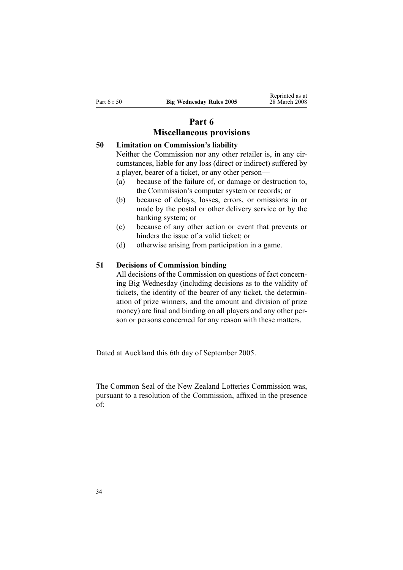# **Part 6**

# **Miscellaneous provisions**

# <span id="page-33-0"></span>**50 Limitation on Commission's liability**

Neither the Commission nor any other retailer is, in any circumstances, liable for any loss (direct or indirect) suffered by <sup>a</sup> player, bearer of <sup>a</sup> ticket, or any other person—

- (a) because of the failure of, or damage or destruction to, the Commission's computer system or records; or
- (b) because of delays, losses, errors, or omissions in or made by the postal or other delivery service or by the banking system; or
- (c) because of any other action or event that prevents or hinders the issue of <sup>a</sup> valid ticket; or
- (d) otherwise arising from participation in <sup>a</sup> game.

### **51 Decisions of Commission binding**

All decisions of the Commission on questions of fact concerning Big Wednesday (including decisions as to the validity of tickets, the identity of the bearer of any ticket, the determination of prize winners, and the amount and division of prize money) are final and binding on all players and any other person or persons concerned for any reason with these matters.

Dated at Auckland this 6th day of September 2005.

The Common Seal of the New Zealand Lotteries Commission was, pursuan<sup>t</sup> to <sup>a</sup> resolution of the Commission, affixed in the presence of: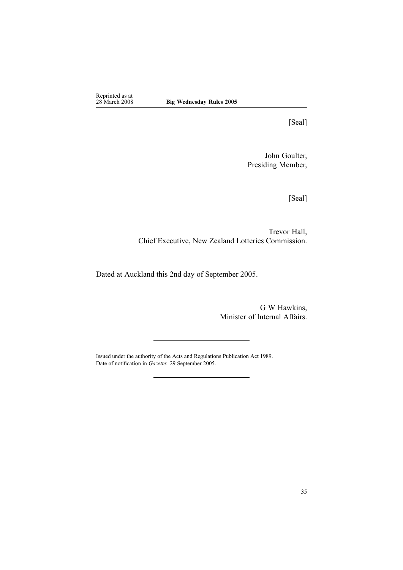Reprinted as at<br>28 March 2008

[Seal]

John Goulter, Presiding Member,

[Seal]

Trevor Hall, Chief Executive, New Zealand Lotteries Commission.

Dated at Auckland this 2nd day of September 2005.

G W Hawkins, Minister of Internal Affairs.

Issued under the authority of the Acts and [Regulations](http://www.legislation.govt.nz/pdfLink.aspx?id=DLM195097) Publication Act 1989. Date of notification in *Gazette*: 29 September 2005.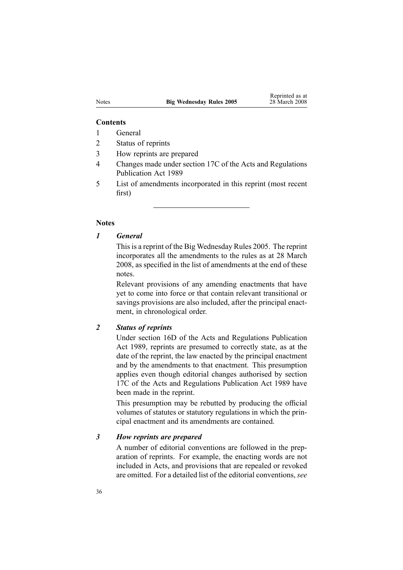#### **Contents**

- 1 General
- 2 Status of reprints
- 3 How reprints are prepared
- 4 Changes made under section 17C of the Acts and Regulations Publication Act 1989
- 5 List of amendments incorporated in this reprint (most recent first)

### **Notes**

### *1 General*

This is a reprint of the Big Wednesday Rules 2005. The reprint incorporates all the amendments to the rules as at 28 March 2008, as specified in the list of amendments at the end of these notes.

Relevant provisions of any amending enactments that have ye<sup>t</sup> to come into force or that contain relevant transitional or savings provisions are also included, after the principal enactment, in chronological order.

### *2 Status of reprints*

Under [section](http://www.legislation.govt.nz/pdfLink.aspx?id=DLM195439) 16D of the Acts and Regulations Publication Act 1989, reprints are presumed to correctly state, as at the date of the reprint, the law enacted by the principal enactment and by the amendments to that enactment. This presumption applies even though editorial changes authorised by [section](http://www.legislation.govt.nz/pdfLink.aspx?id=DLM195466) [17C](http://www.legislation.govt.nz/pdfLink.aspx?id=DLM195466) of the Acts and Regulations Publication Act 1989 have been made in the reprint.

This presumption may be rebutted by producing the official volumes of statutes or statutory regulations in which the principal enactment and its amendments are contained.

### *3 How reprints are prepared*

A number of editorial conventions are followed in the preparation of reprints. For example, the enacting words are not included in Acts, and provisions that are repealed or revoked are omitted. For <sup>a</sup> detailed list of the editorial conventions, *see*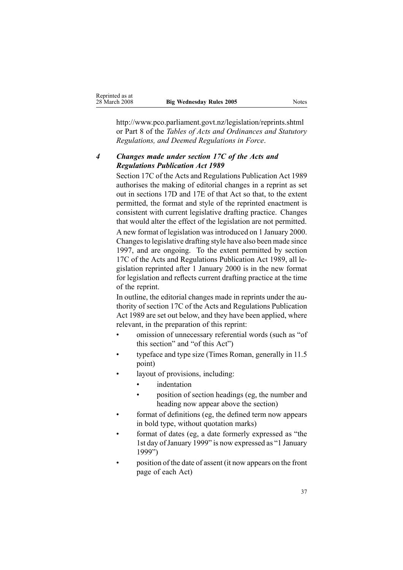http://www.pco.parliament.govt.nz/legislation/reprints.shtml or Part 8 of the *Tables of Acts and Ordinances and Statutory Regulations, and Deemed Regulations in Force*.

# *4 Changes made under section 17C of the Acts and Regulations Publication Act 1989*

[Section](http://www.legislation.govt.nz/pdfLink.aspx?id=DLM195466) 17C of the Acts and Regulations Publication Act 1989 authorises the making of editorial changes in <sup>a</sup> reprint as set out in [sections](http://www.legislation.govt.nz/pdfLink.aspx?id=DLM195468) 17D and [17E](http://www.legislation.govt.nz/pdfLink.aspx?id=DLM195470) of that Act so that, to the extent permitted, the format and style of the reprinted enactment is consistent with current legislative drafting practice. Changes that would alter the effect of the legislation are not permitted. A new format of legislation wasintroduced on 1 January 2000. Changesto legislative drafting style have also been made since 1997, and are ongoing. To the extent permitted by [section](http://www.legislation.govt.nz/pdfLink.aspx?id=DLM195466) [17C](http://www.legislation.govt.nz/pdfLink.aspx?id=DLM195466) of the Acts and Regulations Publication Act 1989, all legislation reprinted after 1 January 2000 is in the new format for legislation and reflects current drafting practice at the time of the reprint.

In outline, the editorial changes made in reprints under the authority of [section](http://www.legislation.govt.nz/pdfLink.aspx?id=DLM195466) 17C of the Acts and Regulations Publication Act 1989 are set out below, and they have been applied, where relevant, in the preparation of this reprint:

- • omission of unnecessary referential words (such as "of this section" and "of this Act")
- • typeface and type size (Times Roman, generally in 11.5 point)
- • layout of provisions, including:
	- •indentation
	- • position of section headings (eg, the number and heading now appear above the section)
- • format of definitions (eg, the defined term now appears in bold type, without quotation marks)
- • format of dates (eg, <sup>a</sup> date formerly expressed as "the 1st day of January 1999" is now expressed as "1 January 1999")
- • position of the date of assent (it now appears on the front page of each Act)